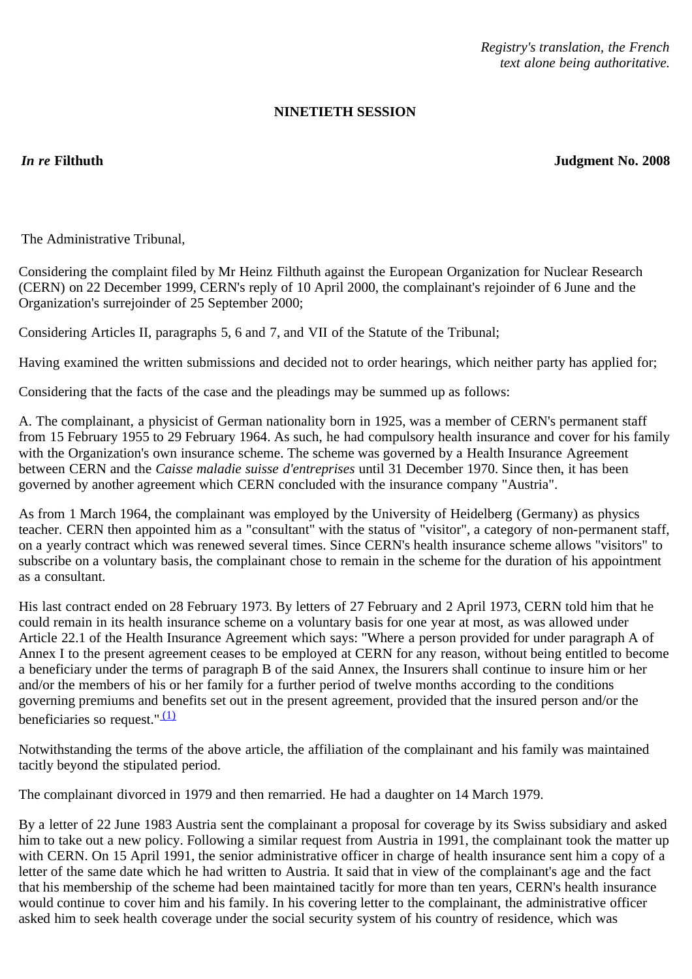*Registry's translation, the French text alone being authoritative.*

# **NINETIETH SESSION**

*In re* **Filthuth Judgment No. 2008**

The Administrative Tribunal,

Considering the complaint filed by Mr Heinz Filthuth against the European Organization for Nuclear Research (CERN) on 22 December 1999, CERN's reply of 10 April 2000, the complainant's rejoinder of 6 June and the Organization's surrejoinder of 25 September 2000;

Considering Articles II, paragraphs 5, 6 and 7, and VII of the Statute of the Tribunal;

Having examined the written submissions and decided not to order hearings, which neither party has applied for;

Considering that the facts of the case and the pleadings may be summed up as follows:

A. The complainant, a physicist of German nationality born in 1925, was a member of CERN's permanent staff from 15 February 1955 to 29 February 1964. As such, he had compulsory health insurance and cover for his family with the Organization's own insurance scheme. The scheme was governed by a Health Insurance Agreement between CERN and the *Caisse maladie suisse d'entreprises* until 31 December 1970. Since then, it has been governed by another agreement which CERN concluded with the insurance company "Austria".

As from 1 March 1964, the complainant was employed by the University of Heidelberg (Germany) as physics teacher. CERN then appointed him as a "consultant" with the status of "visitor", a category of non-permanent staff, on a yearly contract which was renewed several times. Since CERN's health insurance scheme allows "visitors" to subscribe on a voluntary basis, the complainant chose to remain in the scheme for the duration of his appointment as a consultant.

His last contract ended on 28 February 1973. By letters of 27 February and 2 April 1973, CERN told him that he could remain in its health insurance scheme on a voluntary basis for one year at most, as was allowed under Article 22.1 of the Health Insurance Agreement which says: "Where a person provided for under paragraph A of Annex I to the present agreement ceases to be employed at CERN for any reason, without being entitled to become a beneficiary under the terms of paragraph B of the said Annex, the Insurers shall continue to insure him or her and/or the members of his or her family for a further period of twelve months according to the conditions governing premiums and benefits set out in the present agreement, provided that the insured person and/or the beneficiaries so request." $(1)$ 

Notwithstanding the terms of the above article, the affiliation of the complainant and his family was maintained tacitly beyond the stipulated period.

The complainant divorced in 1979 and then remarried. He had a daughter on 14 March 1979.

By a letter of 22 June 1983 Austria sent the complainant a proposal for coverage by its Swiss subsidiary and asked him to take out a new policy. Following a similar request from Austria in 1991, the complainant took the matter up with CERN. On 15 April 1991, the senior administrative officer in charge of health insurance sent him a copy of a letter of the same date which he had written to Austria. It said that in view of the complainant's age and the fact that his membership of the scheme had been maintained tacitly for more than ten years, CERN's health insurance would continue to cover him and his family. In his covering letter to the complainant, the administrative officer asked him to seek health coverage under the social security system of his country of residence, which was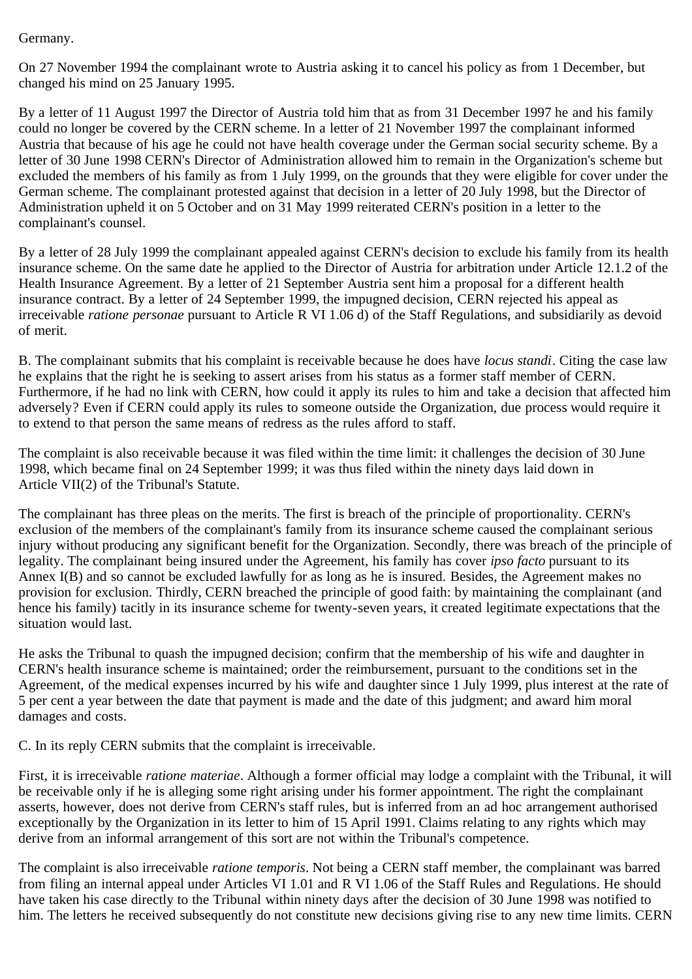## Germany.

On 27 November 1994 the complainant wrote to Austria asking it to cancel his policy as from 1 December, but changed his mind on 25 January 1995.

By a letter of 11 August 1997 the Director of Austria told him that as from 31 December 1997 he and his family could no longer be covered by the CERN scheme. In a letter of 21 November 1997 the complainant informed Austria that because of his age he could not have health coverage under the German social security scheme. By a letter of 30 June 1998 CERN's Director of Administration allowed him to remain in the Organization's scheme but excluded the members of his family as from 1 July 1999, on the grounds that they were eligible for cover under the German scheme. The complainant protested against that decision in a letter of 20 July 1998, but the Director of Administration upheld it on 5 October and on 31 May 1999 reiterated CERN's position in a letter to the complainant's counsel.

By a letter of 28 July 1999 the complainant appealed against CERN's decision to exclude his family from its health insurance scheme. On the same date he applied to the Director of Austria for arbitration under Article 12.1.2 of the Health Insurance Agreement. By a letter of 21 September Austria sent him a proposal for a different health insurance contract. By a letter of 24 September 1999, the impugned decision, CERN rejected his appeal as irreceivable *ratione personae* pursuant to Article R VI 1.06 d) of the Staff Regulations, and subsidiarily as devoid of merit.

B. The complainant submits that his complaint is receivable because he does have *locus standi*. Citing the case law he explains that the right he is seeking to assert arises from his status as a former staff member of CERN. Furthermore, if he had no link with CERN, how could it apply its rules to him and take a decision that affected him adversely? Even if CERN could apply its rules to someone outside the Organization, due process would require it to extend to that person the same means of redress as the rules afford to staff.

The complaint is also receivable because it was filed within the time limit: it challenges the decision of 30 June 1998, which became final on 24 September 1999; it was thus filed within the ninety days laid down in Article VII(2) of the Tribunal's Statute.

The complainant has three pleas on the merits. The first is breach of the principle of proportionality. CERN's exclusion of the members of the complainant's family from its insurance scheme caused the complainant serious injury without producing any significant benefit for the Organization. Secondly, there was breach of the principle of legality. The complainant being insured under the Agreement, his family has cover *ipso facto* pursuant to its Annex I(B) and so cannot be excluded lawfully for as long as he is insured. Besides, the Agreement makes no provision for exclusion. Thirdly, CERN breached the principle of good faith: by maintaining the complainant (and hence his family) tacitly in its insurance scheme for twenty-seven years, it created legitimate expectations that the situation would last.

He asks the Tribunal to quash the impugned decision; confirm that the membership of his wife and daughter in CERN's health insurance scheme is maintained; order the reimbursement, pursuant to the conditions set in the Agreement, of the medical expenses incurred by his wife and daughter since 1 July 1999, plus interest at the rate of 5 per cent a year between the date that payment is made and the date of this judgment; and award him moral damages and costs.

C. In its reply CERN submits that the complaint is irreceivable.

First, it is irreceivable *ratione materiae*. Although a former official may lodge a complaint with the Tribunal, it will be receivable only if he is alleging some right arising under his former appointment. The right the complainant asserts, however, does not derive from CERN's staff rules, but is inferred from an ad hoc arrangement authorised exceptionally by the Organization in its letter to him of 15 April 1991. Claims relating to any rights which may derive from an informal arrangement of this sort are not within the Tribunal's competence.

The complaint is also irreceivable *ratione temporis*. Not being a CERN staff member, the complainant was barred from filing an internal appeal under Articles VI 1.01 and R VI 1.06 of the Staff Rules and Regulations. He should have taken his case directly to the Tribunal within ninety days after the decision of 30 June 1998 was notified to him. The letters he received subsequently do not constitute new decisions giving rise to any new time limits. CERN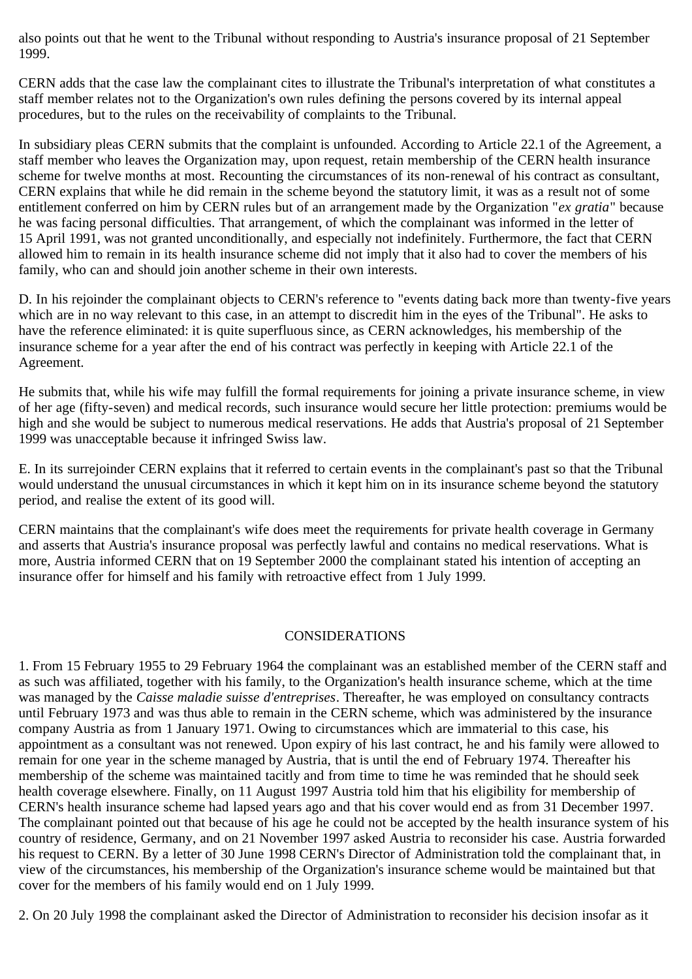also points out that he went to the Tribunal without responding to Austria's insurance proposal of 21 September 1999.

CERN adds that the case law the complainant cites to illustrate the Tribunal's interpretation of what constitutes a staff member relates not to the Organization's own rules defining the persons covered by its internal appeal procedures, but to the rules on the receivability of complaints to the Tribunal.

In subsidiary pleas CERN submits that the complaint is unfounded. According to Article 22.1 of the Agreement, a staff member who leaves the Organization may, upon request, retain membership of the CERN health insurance scheme for twelve months at most. Recounting the circumstances of its non-renewal of his contract as consultant, CERN explains that while he did remain in the scheme beyond the statutory limit, it was as a result not of some entitlement conferred on him by CERN rules but of an arrangement made by the Organization "*ex gratia*" because he was facing personal difficulties. That arrangement, of which the complainant was informed in the letter of 15 April 1991, was not granted unconditionally, and especially not indefinitely. Furthermore, the fact that CERN allowed him to remain in its health insurance scheme did not imply that it also had to cover the members of his family, who can and should join another scheme in their own interests.

D. In his rejoinder the complainant objects to CERN's reference to "events dating back more than twenty-five years which are in no way relevant to this case, in an attempt to discredit him in the eyes of the Tribunal". He asks to have the reference eliminated: it is quite superfluous since, as CERN acknowledges, his membership of the insurance scheme for a year after the end of his contract was perfectly in keeping with Article 22.1 of the Agreement.

He submits that, while his wife may fulfill the formal requirements for joining a private insurance scheme, in view of her age (fifty-seven) and medical records, such insurance would secure her little protection: premiums would be high and she would be subject to numerous medical reservations. He adds that Austria's proposal of 21 September 1999 was unacceptable because it infringed Swiss law.

E. In its surrejoinder CERN explains that it referred to certain events in the complainant's past so that the Tribunal would understand the unusual circumstances in which it kept him on in its insurance scheme beyond the statutory period, and realise the extent of its good will.

CERN maintains that the complainant's wife does meet the requirements for private health coverage in Germany and asserts that Austria's insurance proposal was perfectly lawful and contains no medical reservations. What is more, Austria informed CERN that on 19 September 2000 the complainant stated his intention of accepting an insurance offer for himself and his family with retroactive effect from 1 July 1999.

## CONSIDERATIONS

1. From 15 February 1955 to 29 February 1964 the complainant was an established member of the CERN staff and as such was affiliated, together with his family, to the Organization's health insurance scheme, which at the time was managed by the *Caisse maladie suisse d'entreprises*. Thereafter, he was employed on consultancy contracts until February 1973 and was thus able to remain in the CERN scheme, which was administered by the insurance company Austria as from 1 January 1971. Owing to circumstances which are immaterial to this case, his appointment as a consultant was not renewed. Upon expiry of his last contract, he and his family were allowed to remain for one year in the scheme managed by Austria, that is until the end of February 1974. Thereafter his membership of the scheme was maintained tacitly and from time to time he was reminded that he should seek health coverage elsewhere. Finally, on 11 August 1997 Austria told him that his eligibility for membership of CERN's health insurance scheme had lapsed years ago and that his cover would end as from 31 December 1997. The complainant pointed out that because of his age he could not be accepted by the health insurance system of his country of residence, Germany, and on 21 November 1997 asked Austria to reconsider his case. Austria forwarded his request to CERN. By a letter of 30 June 1998 CERN's Director of Administration told the complainant that, in view of the circumstances, his membership of the Organization's insurance scheme would be maintained but that cover for the members of his family would end on 1 July 1999.

2. On 20 July 1998 the complainant asked the Director of Administration to reconsider his decision insofar as it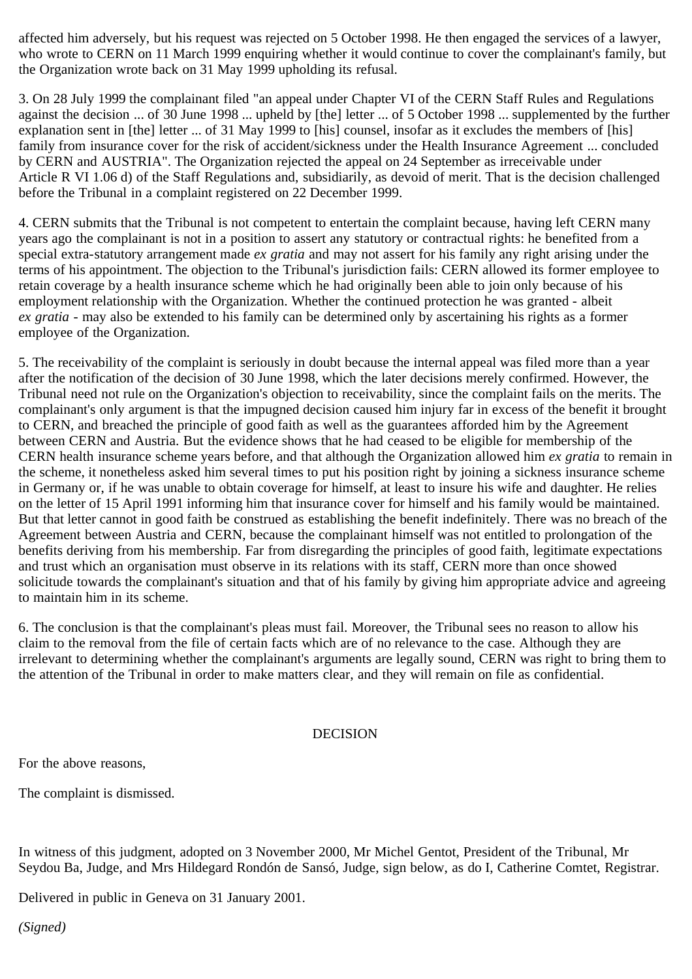affected him adversely, but his request was rejected on 5 October 1998. He then engaged the services of a lawyer, who wrote to CERN on 11 March 1999 enquiring whether it would continue to cover the complainant's family, but the Organization wrote back on 31 May 1999 upholding its refusal.

3. On 28 July 1999 the complainant filed "an appeal under Chapter VI of the CERN Staff Rules and Regulations against the decision ... of 30 June 1998 ... upheld by [the] letter ... of 5 October 1998 ... supplemented by the further explanation sent in [the] letter ... of 31 May 1999 to [his] counsel, insofar as it excludes the members of [his] family from insurance cover for the risk of accident/sickness under the Health Insurance Agreement ... concluded by CERN and AUSTRIA". The Organization rejected the appeal on 24 September as irreceivable under Article R VI 1.06 d) of the Staff Regulations and, subsidiarily, as devoid of merit. That is the decision challenged before the Tribunal in a complaint registered on 22 December 1999.

4. CERN submits that the Tribunal is not competent to entertain the complaint because, having left CERN many years ago the complainant is not in a position to assert any statutory or contractual rights: he benefited from a special extra-statutory arrangement made *ex gratia* and may not assert for his family any right arising under the terms of his appointment. The objection to the Tribunal's jurisdiction fails: CERN allowed its former employee to retain coverage by a health insurance scheme which he had originally been able to join only because of his employment relationship with the Organization. Whether the continued protection he was granted - albeit *ex gratia* - may also be extended to his family can be determined only by ascertaining his rights as a former employee of the Organization.

5. The receivability of the complaint is seriously in doubt because the internal appeal was filed more than a year after the notification of the decision of 30 June 1998, which the later decisions merely confirmed. However, the Tribunal need not rule on the Organization's objection to receivability, since the complaint fails on the merits. The complainant's only argument is that the impugned decision caused him injury far in excess of the benefit it brought to CERN, and breached the principle of good faith as well as the guarantees afforded him by the Agreement between CERN and Austria. But the evidence shows that he had ceased to be eligible for membership of the CERN health insurance scheme years before, and that although the Organization allowed him *ex gratia* to remain in the scheme, it nonetheless asked him several times to put his position right by joining a sickness insurance scheme in Germany or, if he was unable to obtain coverage for himself, at least to insure his wife and daughter. He relies on the letter of 15 April 1991 informing him that insurance cover for himself and his family would be maintained. But that letter cannot in good faith be construed as establishing the benefit indefinitely. There was no breach of the Agreement between Austria and CERN, because the complainant himself was not entitled to prolongation of the benefits deriving from his membership. Far from disregarding the principles of good faith, legitimate expectations and trust which an organisation must observe in its relations with its staff, CERN more than once showed solicitude towards the complainant's situation and that of his family by giving him appropriate advice and agreeing to maintain him in its scheme.

6. The conclusion is that the complainant's pleas must fail. Moreover, the Tribunal sees no reason to allow his claim to the removal from the file of certain facts which are of no relevance to the case. Although they are irrelevant to determining whether the complainant's arguments are legally sound, CERN was right to bring them to the attention of the Tribunal in order to make matters clear, and they will remain on file as confidential.

## DECISION

For the above reasons,

The complaint is dismissed.

In witness of this judgment, adopted on 3 November 2000, Mr Michel Gentot, President of the Tribunal, Mr Seydou Ba, Judge, and Mrs Hildegard Rondón de Sansó, Judge, sign below, as do I, Catherine Comtet, Registrar.

Delivered in public in Geneva on 31 January 2001.

*(Signed)*